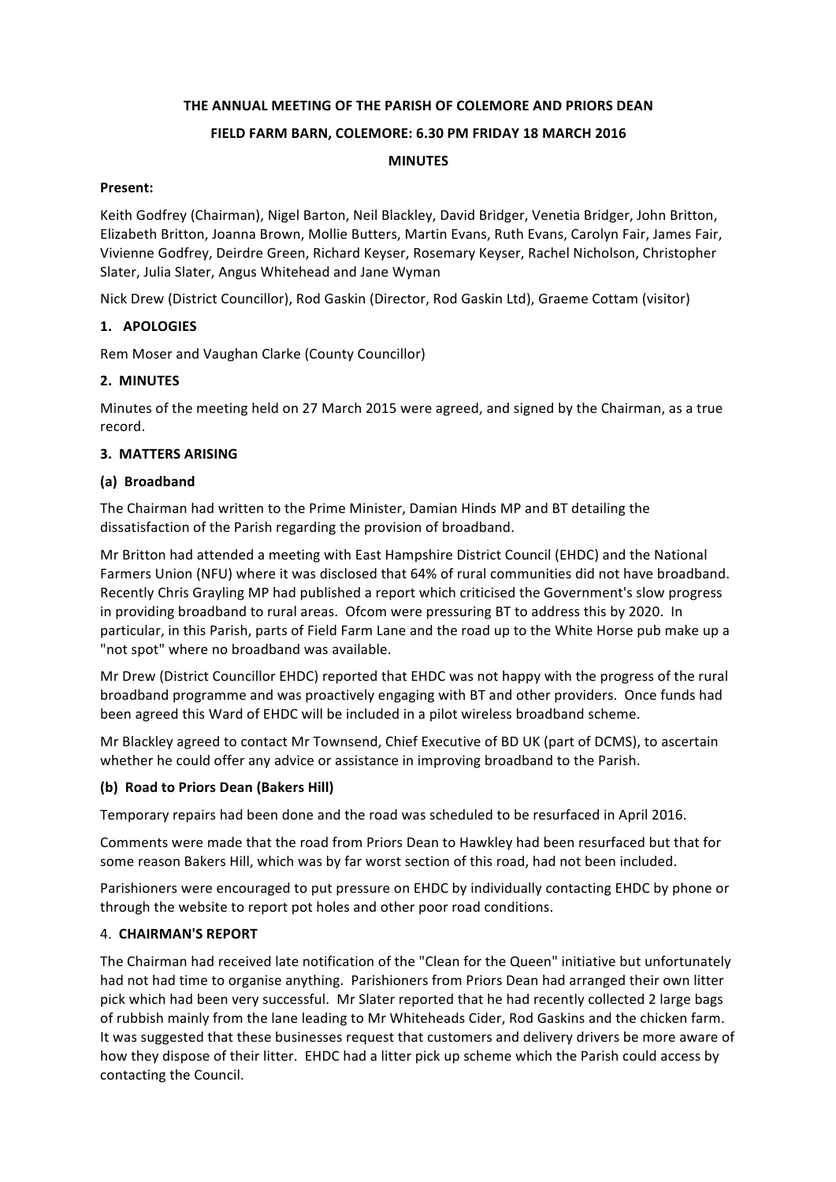## **THE ANNUAL MEETING OF THE PARISH OF COLEMORE AND PRIORS DEAN**

### **FIELD FARM BARN, COLEMORE: 6.30 PM FRIDAY 18 MARCH 2016**

#### **MINUTES**

#### **Present:**

Keith Godfrey (Chairman), Nigel Barton, Neil Blackley, David Bridger, Venetia Bridger, John Britton, Elizabeth Britton, Joanna Brown, Mollie Butters, Martin Evans, Ruth Evans, Carolyn Fair, James Fair, Vivienne Godfrey, Deirdre Green, Richard Keyser, Rosemary Keyser, Rachel Nicholson, Christopher Slater, Julia Slater, Angus Whitehead and Jane Wyman

Nick Drew (District Councillor), Rod Gaskin (Director, Rod Gaskin Ltd), Graeme Cottam (visitor)

### **1. APOLOGIES**

Rem Moser and Vaughan Clarke (County Councillor)

## **2. MINUTES**

Minutes of the meeting held on 27 March 2015 were agreed, and signed by the Chairman, as a true record.

### **3. MATTERS ARISING**

### **(a) Broadband**

The Chairman had written to the Prime Minister, Damian Hinds MP and BT detailing the dissatisfaction of the Parish regarding the provision of broadband. 

Mr Britton had attended a meeting with East Hampshire District Council (EHDC) and the National Farmers Union (NFU) where it was disclosed that 64% of rural communities did not have broadband. Recently Chris Grayling MP had published a report which criticised the Government's slow progress in providing broadband to rural areas. Ofcom were pressuring BT to address this by 2020. In particular, in this Parish, parts of Field Farm Lane and the road up to the White Horse pub make up a "not spot" where no broadband was available.

Mr Drew (District Councillor EHDC) reported that EHDC was not happy with the progress of the rural broadband programme and was proactively engaging with BT and other providers. Once funds had been agreed this Ward of EHDC will be included in a pilot wireless broadband scheme.

Mr Blackley agreed to contact Mr Townsend, Chief Executive of BD UK (part of DCMS), to ascertain whether he could offer any advice or assistance in improving broadband to the Parish.

### **(b) Road to Priors Dean (Bakers Hill)**

Temporary repairs had been done and the road was scheduled to be resurfaced in April 2016. 

Comments were made that the road from Priors Dean to Hawkley had been resurfaced but that for some reason Bakers Hill, which was by far worst section of this road, had not been included.

Parishioners were encouraged to put pressure on EHDC by individually contacting EHDC by phone or through the website to report pot holes and other poor road conditions.

### 4. **CHAIRMAN'S REPORT**

The Chairman had received late notification of the "Clean for the Queen" initiative but unfortunately had not had time to organise anything. Parishioners from Priors Dean had arranged their own litter pick which had been very successful. Mr Slater reported that he had recently collected 2 large bags of rubbish mainly from the lane leading to Mr Whiteheads Cider, Rod Gaskins and the chicken farm. It was suggested that these businesses request that customers and delivery drivers be more aware of how they dispose of their litter. EHDC had a litter pick up scheme which the Parish could access by contacting the Council.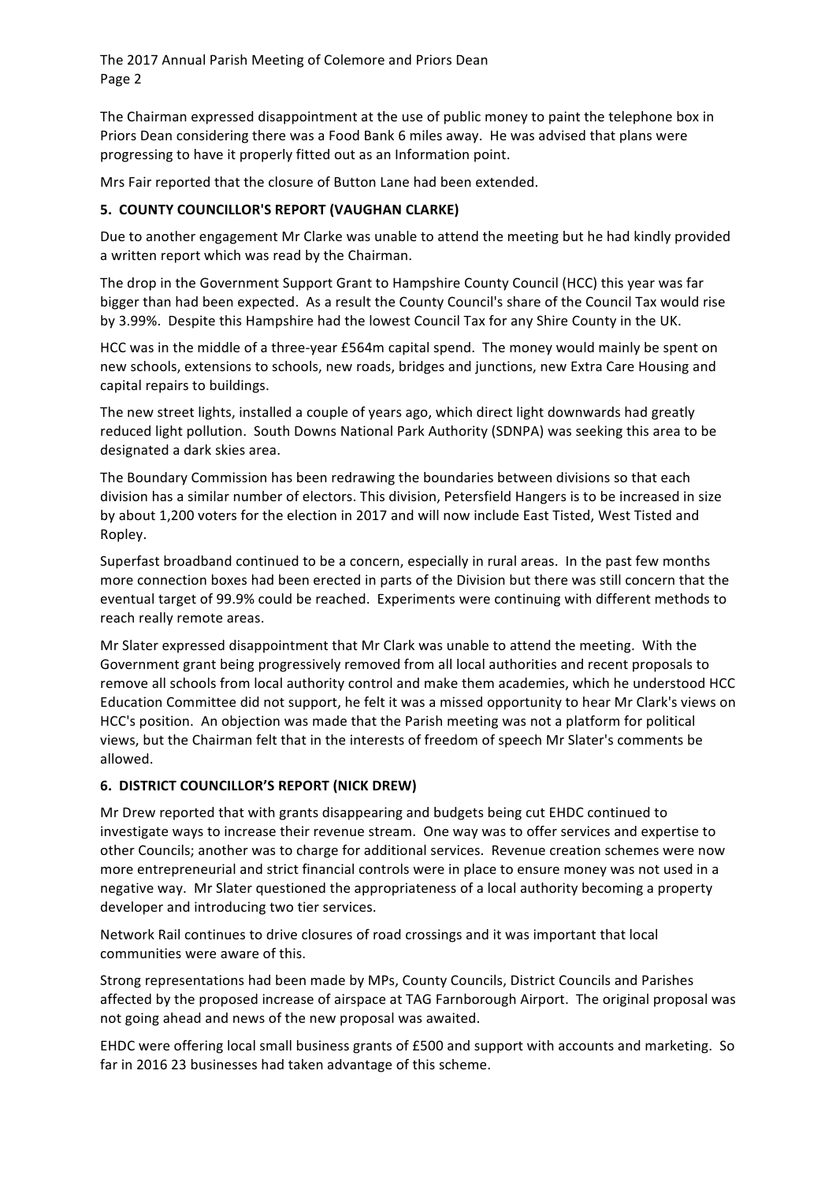The 2017 Annual Parish Meeting of Colemore and Priors Dean Page 2

The Chairman expressed disappointment at the use of public money to paint the telephone box in Priors Dean considering there was a Food Bank 6 miles away. He was advised that plans were progressing to have it properly fitted out as an Information point.

Mrs Fair reported that the closure of Button Lane had been extended.

# **5. COUNTY COUNCILLOR'S REPORT (VAUGHAN CLARKE)**

Due to another engagement Mr Clarke was unable to attend the meeting but he had kindly provided a written report which was read by the Chairman. 

The drop in the Government Support Grant to Hampshire County Council (HCC) this year was far bigger than had been expected. As a result the County Council's share of the Council Tax would rise by 3.99%. Despite this Hampshire had the lowest Council Tax for any Shire County in the UK.

HCC was in the middle of a three-year £564m capital spend. The money would mainly be spent on new schools, extensions to schools, new roads, bridges and junctions, new Extra Care Housing and capital repairs to buildings.

The new street lights, installed a couple of years ago, which direct light downwards had greatly reduced light pollution. South Downs National Park Authority (SDNPA) was seeking this area to be designated a dark skies area.

The Boundary Commission has been redrawing the boundaries between divisions so that each division has a similar number of electors. This division, Petersfield Hangers is to be increased in size by about 1,200 voters for the election in 2017 and will now include East Tisted, West Tisted and Ropley.

Superfast broadband continued to be a concern, especially in rural areas. In the past few months more connection boxes had been erected in parts of the Division but there was still concern that the eventual target of 99.9% could be reached. Experiments were continuing with different methods to reach really remote areas.

Mr Slater expressed disappointment that Mr Clark was unable to attend the meeting. With the Government grant being progressively removed from all local authorities and recent proposals to remove all schools from local authority control and make them academies, which he understood HCC Education Committee did not support, he felt it was a missed opportunity to hear Mr Clark's views on HCC's position. An objection was made that the Parish meeting was not a platform for political views, but the Chairman felt that in the interests of freedom of speech Mr Slater's comments be allowed.

# **6. DISTRICT COUNCILLOR'S REPORT (NICK DREW)**

Mr Drew reported that with grants disappearing and budgets being cut EHDC continued to investigate ways to increase their revenue stream. One way was to offer services and expertise to other Councils; another was to charge for additional services. Revenue creation schemes were now more entrepreneurial and strict financial controls were in place to ensure money was not used in a negative way. Mr Slater questioned the appropriateness of a local authority becoming a property developer and introducing two tier services.

Network Rail continues to drive closures of road crossings and it was important that local communities were aware of this.

Strong representations had been made by MPs, County Councils, District Councils and Parishes affected by the proposed increase of airspace at TAG Farnborough Airport. The original proposal was not going ahead and news of the new proposal was awaited.

EHDC were offering local small business grants of £500 and support with accounts and marketing. So far in 2016 23 businesses had taken advantage of this scheme.